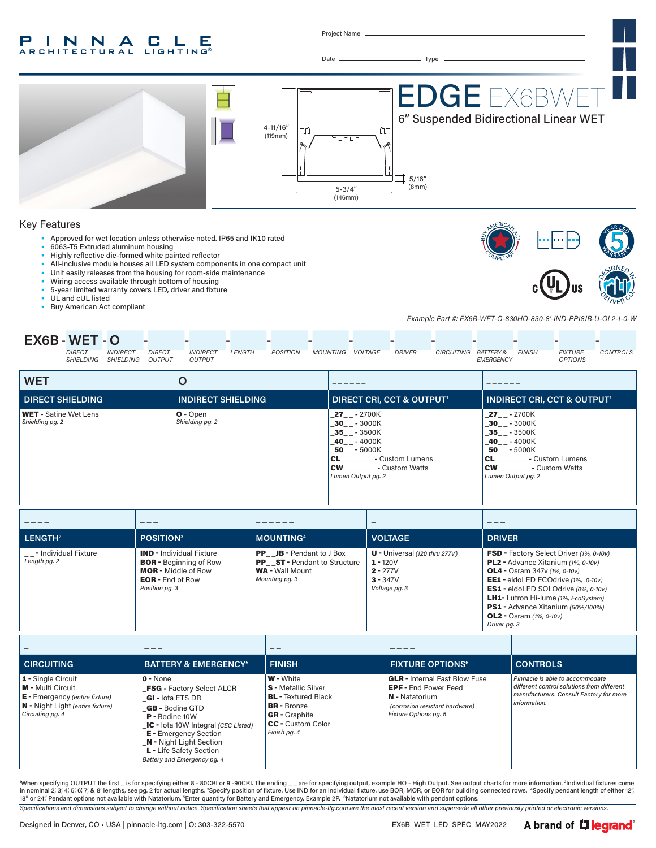#### P INNA  $\mathbf{L}$ C. Е RCHITECTURAL **LIGHTING®**

Project Name

Date Type



- Approved for wet location unless otherwise noted. IP65 and IK10 rated
- 6063-T5 Extruded aluminum housing
- Highly reflective die-formed white painted reflector
- All-inclusive module houses all LED system components in one compact unit
- Unit easily releases from the housing for room-side maintenance
- Wiring access available through bottom of housing
- 5-year limited warranty covers LED, driver and fixture
- UL and cUL listed
- Buy American Act compliant

*Example Part #: EX6B-WET-O-830HO-830-8'-IND-PP18JB-U-OL2-1-0-W*

| EX6B-WET-O |                            |                               |                                |                                  |        |                 |          |         |               |                      |           |               |                                  |          |
|------------|----------------------------|-------------------------------|--------------------------------|----------------------------------|--------|-----------------|----------|---------|---------------|----------------------|-----------|---------------|----------------------------------|----------|
|            | <b>DIRECT</b><br>SHIELDING | <b>INDIRECT</b><br>SHIEL DING | <b>DIRECT</b><br><b>OUTPUT</b> | <b>INDIRECT</b><br><b>OUTPUT</b> | LENGTH | <b>POSITION</b> | MOUNTING | VOLTAGE | <b>DRIVER</b> | CIRCUITING BATTERY & | EMERGENCY | <b>FINISH</b> | <b>FIXTURE</b><br><b>OPTIONS</b> | CONTROLS |

| <b>WET</b>                                      | Ő                             |                                                                                                                                                              |                                                                                                                                                                                     |
|-------------------------------------------------|-------------------------------|--------------------------------------------------------------------------------------------------------------------------------------------------------------|-------------------------------------------------------------------------------------------------------------------------------------------------------------------------------------|
| <b>DIRECT SHIELDING</b>                         | <b>INDIRECT SHIELDING</b>     | <b>DIRECT CRI, CCT &amp; OUTPUT1</b>                                                                                                                         | <b>INDIRECT CRI, CCT &amp; OUTPUT1</b>                                                                                                                                              |
| <b>WET</b> - Satine Wet Lens<br>Shielding pg. 2 | $O - Open$<br>Shielding pg. 2 | $27 - 2700K$<br>$30 - -3000K$<br>35 - 3500K<br>$-40$ _ $-$ 4000K<br>50 - 5000K<br>- Custom Lumens<br>CL<br><b>CW</b><br>- Custom Watts<br>Lumen Output pg. 2 | $27 - -2700K$<br>$-30$ <sub>-</sub> $-3000$ K<br>35 - 3500K<br>$-40$ _ $-$ 4000K<br>50 - 5000K<br><b>CL</b><br>- Custom Lumens<br><b>CW</b><br>- Custom Watts<br>Lumen Output pg. 2 |

|                                          | $- - -$                                                                                                                                     |                                                                                                             | $\overline{\phantom{a}}$                                                                   | ---                                                                                                                                                                                                                                                                                                                                                    |
|------------------------------------------|---------------------------------------------------------------------------------------------------------------------------------------------|-------------------------------------------------------------------------------------------------------------|--------------------------------------------------------------------------------------------|--------------------------------------------------------------------------------------------------------------------------------------------------------------------------------------------------------------------------------------------------------------------------------------------------------------------------------------------------------|
| LENGTH <sup>2</sup>                      | <b>POSITION3</b>                                                                                                                            | <b>MOUNTING4</b>                                                                                            | <b>VOLTAGE</b>                                                                             | <b>DRIVER</b>                                                                                                                                                                                                                                                                                                                                          |
| _ _ - Individual Fixture<br>Length pg. 2 | <b>IND - Individual Fixture</b><br><b>BOR</b> - Beginning of Row<br><b>MOR</b> - Middle of Row<br><b>EOR</b> - End of Row<br>Position pg. 3 | <b>PP</b> JB - Pendant to J Box<br>PP ST - Pendant to Structure<br><b>WA</b> - Wall Mount<br>Mounting pg. 3 | $U$ - Universal (120 thru 277V)<br>$1 - 120V$<br>$2 - 277V$<br>$3 - 347V$<br>Voltage pg. 3 | FSD - Factory Select Driver (1%, 0-10v)<br>PL2 - Advance Xitanium (1%, 0-10v)<br><b>OL4</b> - Osram 347y $(1\%$ , $0-10v)$<br>EE1 - eldoLED ECOdrive (1%, 0-10v)<br><b>ES1</b> - eldoLED SOLOdrive (0%, 0-10v)<br><b>LH1-</b> Lutron Hi-lume (1%, EcoSystem)<br>PS1 - Advance Xitanium (50%/100%)<br><b>OL2</b> - Osram $(1\%, 0-10v)$<br>Driver pg. 3 |

|                                                                                                                                     |                                                                                                                                                                                                                                                                                            | --                                                                                                                                                                     |                                                                                                                                                  |                                                                                                                                          |
|-------------------------------------------------------------------------------------------------------------------------------------|--------------------------------------------------------------------------------------------------------------------------------------------------------------------------------------------------------------------------------------------------------------------------------------------|------------------------------------------------------------------------------------------------------------------------------------------------------------------------|--------------------------------------------------------------------------------------------------------------------------------------------------|------------------------------------------------------------------------------------------------------------------------------------------|
| <b>CIRCUITING</b>                                                                                                                   | <b>BATTERY &amp; EMERGENCY<sup>5</sup></b>                                                                                                                                                                                                                                                 | <b>FINISH</b>                                                                                                                                                          | <b>FIXTURE OPTIONS<sup>6</sup></b>                                                                                                               | <b>CONTROLS</b>                                                                                                                          |
| 1 - Single Circuit<br>M - Multi Circuit<br>$E$ - Emergency (entire fixture)<br>N - Night Light (entire fixture)<br>Circuiting pg. 4 | $0 - None$<br><b>FSG - Factory Select ALCR</b><br>GI - lota ETS DR<br><b>GB</b> - Bodine GTD<br>$P -$ Bodine 10W<br><b>IC</b> - lota 10W Integral (CEC Listed)<br><b>E</b> - Emergency Section<br><b>N</b> - Night Light Section<br>L - Life Safety Section<br>Battery and Emergency pg. 4 | <b>W</b> - White<br><b>S</b> - Metallic Silver<br><b>BL</b> - Textured Black<br><b>BR</b> - Bronze<br><b>GR</b> - Graphite<br><b>CC</b> - Custom Color<br>Finish pg. 4 | <b>GLR</b> - Internal Fast Blow Fuse<br><b>EPF</b> - End Power Feed<br>N - Natatorium<br>(corrosion resistant hardware)<br>Fixture Options pg. 5 | Pinnacle is able to accommodate<br>different control solutions from different<br>manufacturers. Consult Factory for more<br>information. |

When specifying OUTPUT the first \_ is for specifying either 8 - 80CRI or 9 -90CRI. The ending \_ \_ are for specifying output, example HO - High Output. See output charts for more information. <sup>2</sup>Individual fixtures come in nominal 2,'3,'4,'5,'6,'7,'& 8' lengths, see pg. 2 for actual lengths. <sup>3</sup>Specify position of fixture. Use IND for an individual fixture, use BOR, MOR, or EOR for building connected rows. "Specify pendant length of eith

*Specifications and dimensions subject to change without notice. Specification sheets that appear on pinnacle-ltg.com are the most recent version and supersede all other previously printed or electronic versions.*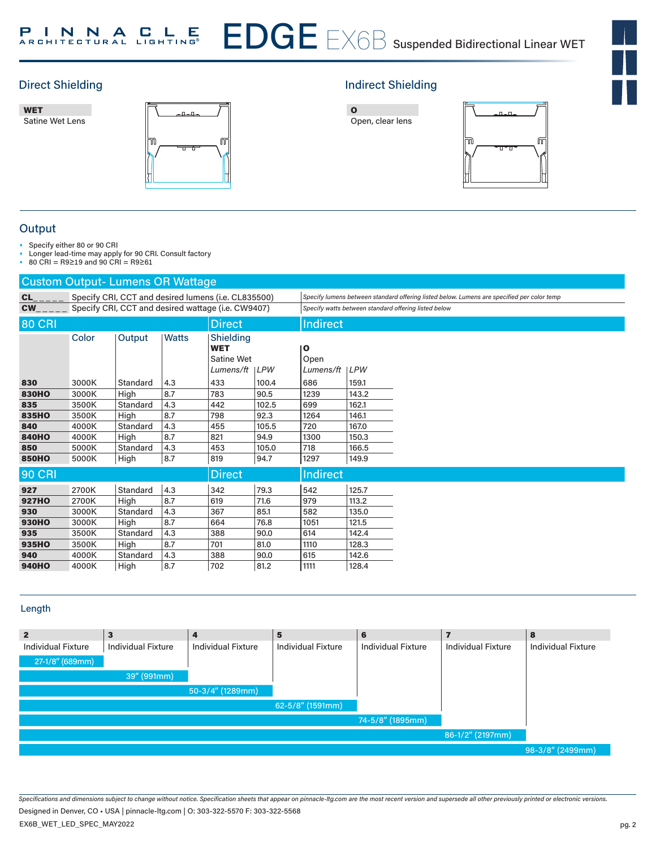

EDGE 6





# Direct Shielding **Indirect Shielding Indirect Shielding**





## **Output**

• Specify either 80 or 90 CRI

• Longer lead-time may apply for 90 CRI. Consult factory

• 80 CRI = R9≥19 and 90 CRI = R9≥61

|               | <b>Custom Output-Lumens OR Wattage</b> |                                                    |       |                                                                 |       |                        |                                                      |                                                                                            |  |  |
|---------------|----------------------------------------|----------------------------------------------------|-------|-----------------------------------------------------------------|-------|------------------------|------------------------------------------------------|--------------------------------------------------------------------------------------------|--|--|
| <b>CL</b>     |                                        |                                                    |       | Specify CRI, CCT and desired lumens (i.e. CL835500)             |       |                        |                                                      | Specify lumens between standard offering listed below. Lumens are specified per color temp |  |  |
| <b>CW</b>     |                                        | Specify CRI, CCT and desired wattage (i.e. CW9407) |       |                                                                 |       |                        | Specify watts between standard offering listed below |                                                                                            |  |  |
| <b>80 CRI</b> |                                        |                                                    |       | Direct                                                          |       | <b>Indirect</b>        |                                                      |                                                                                            |  |  |
|               | Color                                  | Output                                             | Watts | Shielding<br><b>WET</b><br><b>Satine Wet</b><br>Lumens/ft   LPW |       | O<br>Open<br>Lumens/ft | LPW                                                  |                                                                                            |  |  |
| 830           | 3000K                                  | Standard                                           | 4.3   | 433                                                             | 100.4 | 686                    | 159.1                                                |                                                                                            |  |  |
| <b>830HO</b>  | 3000K                                  | High                                               | 8.7   | 783                                                             | 90.5  | 1239                   | 143.2                                                |                                                                                            |  |  |
| 835           | 3500K                                  | Standard                                           | 4.3   | 442                                                             | 102.5 | 699                    | 162.1                                                |                                                                                            |  |  |
| 835HO         | 3500K                                  | High                                               | 8.7   | 798                                                             | 92.3  | 1264                   | 146.1                                                |                                                                                            |  |  |
| 840           | 4000K                                  | Standard                                           | 4.3   | 455                                                             | 105.5 | 720                    | 167.0                                                |                                                                                            |  |  |
| <b>840HO</b>  | 4000K                                  | High                                               | 8.7   | 821                                                             | 94.9  | 1300                   | 150.3                                                |                                                                                            |  |  |
| 850           | 5000K                                  | Standard                                           | 4.3   | 453                                                             | 105.0 | 718                    | 166.5                                                |                                                                                            |  |  |
| <b>850HO</b>  | 5000K                                  | High                                               | 8.7   | 819                                                             | 94.7  | 1297                   | 149.9                                                |                                                                                            |  |  |
| <b>90 CRI</b> |                                        |                                                    |       | <b>Direct</b>                                                   |       | <b>Indirect</b>        |                                                      |                                                                                            |  |  |
| 927           | 2700K                                  | Standard                                           | 4.3   | 342                                                             | 79.3  | 542                    | 125.7                                                |                                                                                            |  |  |
| <b>927HO</b>  | 2700K                                  | High                                               | 8.7   | 619                                                             | 71.6  | 979                    | 113.2                                                |                                                                                            |  |  |
| 930           | 3000K                                  | Standard                                           | 4.3   | 367                                                             | 85.1  | 582                    | 135.0                                                |                                                                                            |  |  |
| <b>930HO</b>  | 3000K                                  | High                                               | 8.7   | 664                                                             | 76.8  | 1051                   | 121.5                                                |                                                                                            |  |  |
| 935           | 3500K                                  | Standard                                           | 4.3   | 388                                                             | 90.0  | 614                    | 142.4                                                |                                                                                            |  |  |
| 935HO         | 3500K                                  | High                                               | 8.7   | 701                                                             | 81.0  | 1110                   | 128.3                                                |                                                                                            |  |  |
| 940           | 4000K                                  | Standard                                           | 4.3   | 388                                                             | 90.0  | 615                    | 142.6                                                |                                                                                            |  |  |
| <b>940HO</b>  | 4000K                                  | High                                               | 8.7   | 702                                                             | 81.2  | 1111                   | 128.4                                                |                                                                                            |  |  |

## Length

| $\overline{2}$            | 3                  | 4                         | 5                         | 6                         |                           | 8                         |
|---------------------------|--------------------|---------------------------|---------------------------|---------------------------|---------------------------|---------------------------|
| <b>Individual Fixture</b> | Individual Fixture | <b>Individual Fixture</b> | <b>Individual Fixture</b> | <b>Individual Fixture</b> | <b>Individual Fixture</b> | <b>Individual Fixture</b> |
| 27-1/8" (689mm)           |                    |                           |                           |                           |                           |                           |
|                           | 39" (991mm)        |                           |                           |                           |                           |                           |
|                           |                    | $50-3/4''$ (1289mm)       |                           |                           |                           |                           |
|                           |                    |                           | 62-5/8" (1591mm)          |                           |                           |                           |
|                           |                    |                           |                           | 74-5/8" (1895mm)          |                           |                           |
|                           |                    |                           |                           |                           | 86-1/2" (2197mm)          |                           |
|                           |                    |                           |                           |                           |                           | 98-3/8" (2499mm)          |

*Specifications and dimensions subject to change without notice. Specification sheets that appear on pinnacle-ltg.com are the most recent version and supersede all other previously printed or electronic versions.*

EX6B\_WET\_LED\_SPEC\_MAY2022 Designed in Denver, CO • USA | pinnacle-ltg.com | O: 303-322-5570 F: 303-322-5568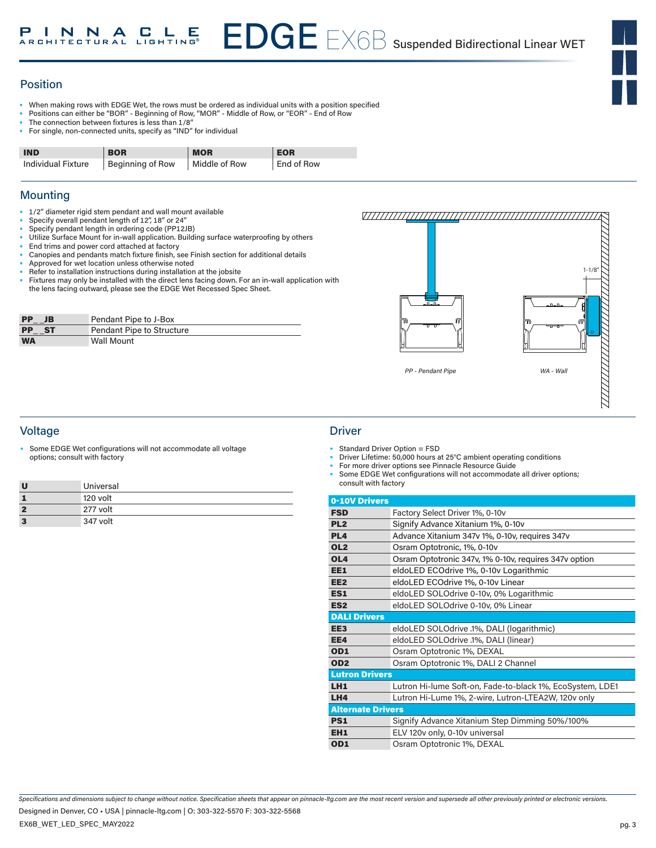## Position

- When making rows with EDGE Wet, the rows must be ordered as individual units with a position specified
- Positions can either be "BOR" Beginning of Row, "MOR" Middle of Row, or "EOR" End of Row
- The connection between fixtures is less than 1/8"
- For single, non-connected units, specify as "IND" for individual

| <b>IND</b>         | <b>BOR</b>                       | <b>MOR</b> | <b>EOR</b> |
|--------------------|----------------------------------|------------|------------|
| Individual Fixture | Beginning of Row   Middle of Row |            | End of Row |

## **Mounting**

- 1/2" diameter rigid stem pendant and wall mount available
- Specify overall pendant length of 12", 18" or 24"
- Specify pendant length in ordering code (PP12JB)
- Utilize Surface Mount for in-wall application. Building surface waterproofing by others
- End trims and power cord attached at factory
- Canopies and pendants match fixture finish, see Finish section for additional details
- Approved for wet location unless otherwise noted
- Refer to installation instructions during installation at the jobsite Fixtures may only be installed with the direct lens facing down. For an in-wall application with the lens facing outward, please see the EDGE Wet Recessed Spec Sheet.

| <b>PP</b><br>JB  | Pendant Pipe to J-Box     |
|------------------|---------------------------|
| <b>PP</b><br>-ST | Pendant Pipe to Structure |
| <b>WA</b>        | <b>Wall Mount</b>         |



## Voltage Driver

• Some EDGE Wet configurations will not accommodate all voltage options; consult with factory

|   | Universal |
|---|-----------|
|   | 120 volt  |
| 2 | 277 volt  |
| 3 | 347 volt  |

- Standard Driver Option = FSD
- Driver Lifetime: 50,000 hours at 25°C ambient operating conditions
- For more driver options see Pinnacle Resource Guide
- Some EDGE Wet configurations will not accommodate all driver options; consult with factory

| 0-10V Drivers            |                                                           |
|--------------------------|-----------------------------------------------------------|
| <b>FSD</b>               | Factory Select Driver 1%, 0-10y                           |
| PL <sub>2</sub>          | Signify Advance Xitanium 1%, 0-10v                        |
| PL <sub>4</sub>          | Advance Xitanium 347v 1%, 0-10v, requires 347v            |
| OL <sub>2</sub>          | Osram Optotronic, 1%, 0-10y                               |
| OL <sub>4</sub>          | Osram Optotronic 347v, 1% 0-10v, requires 347v option     |
| EE1                      | eldoLED ECOdrive 1%, 0-10v Logarithmic                    |
| EE <sub>2</sub>          | eldoLED ECOdrive 1%, 0-10v Linear                         |
| ES1                      | eldoLED SOLOdrive 0-10v, 0% Logarithmic                   |
| ES <sub>2</sub>          | eldoLED SOLOdrive 0-10v, 0% Linear                        |
| <b>DALI Drivers</b>      |                                                           |
| EE <sub>3</sub>          | eldoLED SOLOdrive .1%, DALI (logarithmic)                 |
| EE4                      | eldoLED SOLOdrive .1%, DALI (linear)                      |
| OD <sub>1</sub>          | Osram Optotronic 1%, DEXAL                                |
| OD <sub>2</sub>          | Osram Optotronic 1%, DALI 2 Channel                       |
| <b>Lutron Drivers</b>    |                                                           |
| LH <sub>1</sub>          | Lutron Hi-lume Soft-on, Fade-to-black 1%, EcoSystem, LDE1 |
| LH4                      | Lutron Hi-Lume 1%, 2-wire, Lutron-LTEA2W, 120v only       |
| <b>Alternate Drivers</b> |                                                           |
| <b>PS1</b>               | Signify Advance Xitanium Step Dimming 50%/100%            |
| EH <sub>1</sub>          | ELV 120v only, 0-10v universal                            |
| OD <sub>1</sub>          | Osram Optotronic 1%, DEXAL                                |

*Specifications and dimensions subject to change without notice. Specification sheets that appear on pinnacle-ltg.com are the most recent version and supersede all other previously printed or electronic versions.*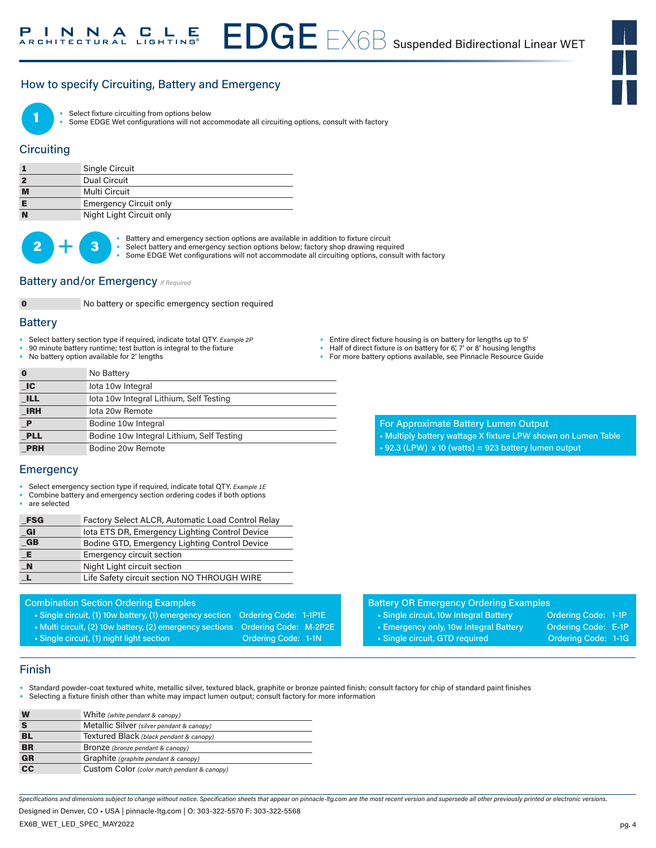## How to specify Circuiting, Battery and Emergency



Select fixture circuiting from options below

Some EDGE Wet configurations will not accommodate all circuiting options, consult with factory

## **Circuiting**

|   | Single Circuit                |
|---|-------------------------------|
|   | Dual Circuit                  |
| M | Multi Circuit                 |
|   | <b>Emergency Circuit only</b> |
| N | Night Light Circuit only      |

 $2 +$ 

• Battery and emergency section options are available in addition to fixture circuit<br>
• Select battery and emergency section options below; factory shop drawing required • Some EDGE Wet configurations will not accommodate all circuiting options, consult with factory

### **Battery and/or Emergency** *If Required*



0 No battery or specific emergency section required

#### **Battery**

- Select battery section type if required, indicate total QTY*. Example 2P*
- 90 minute battery runtime; test button is integral to the fixture
- No battery option available for 2' lengths

|  | Entire direct fixture housing is on battery for lengths up to 5' |  |
|--|------------------------------------------------------------------|--|
|  |                                                                  |  |

- Half of direct fixture is on battery for 6', 7' or 8' housing lengths
- For more battery options available, see Pinnacle Resource Guide

For Approximate Battery Lumen Output

• 92.3 (LPW) x 10 (watts) = 923 battery lumen output

• Multiply battery wattage X fixture LPW shown on Lumen Table

| O                           | No Battery                                |
|-----------------------------|-------------------------------------------|
| $\overline{\phantom{a}}$ IC | lota 10w Integral                         |
| <b>ILL</b>                  | lota 10w Integral Lithium, Self Testing   |
| <b>IRH</b>                  | lota 20w Remote                           |
| P                           | Bodine 10w Integral                       |
| <b>PLL</b>                  | Bodine 10w Integral Lithium, Self Testing |
| <b>PRH</b>                  | Bodine 20w Remote                         |

### **Emergency**

- Select emergency section type if required, indicate total QTY. *Example 1E*
- Combine battery and emergency section ordering codes if both options
- are selected

| <b>FSG</b>              | Factory Select ALCR, Automatic Load Control Relay |
|-------------------------|---------------------------------------------------|
| $\_$ Gl                 | lota ETS DR, Emergency Lighting Control Device    |
| $\overline{\mathbf{G}}$ | Bodine GTD, Emergency Lighting Control Device     |
| _E.                     | <b>Emergency circuit section</b>                  |
| $\blacksquare$ N        | Night Light circuit section                       |
|                         | Life Safety circuit section NO THROUGH WIRE       |

#### Combination Section Ordering Examples

- Single circuit, (1) 10w battery, (1) emergency section Ordering Code: 1-1P1E
- Multi circuit, (2) 10w battery, (2) emergency sections Ordering Code: M-2P2E
- Single circuit, (1) night light section **Ordering Code: 1-1N**
- Battery OR Emergency Ordering Examples
	- Single circuit, 10w Integral Battery **Ordering Code: 1-1P**
	-
- 
- Single circuit, GTD required **Ordering Code: 1-1G**
- Emergency only, 10w Integral Battery Crdering Code: E-1P
	-

### Finish

- Standard powder-coat textured white, metallic silver, textured black, graphite or bronze painted finish; consult factory for chip of standard paint finishes
	- Selecting a fixture finish other than white may impact lumen output; consult factory for more information

| W               | White (white pendant & canopy)              |  |  |  |  |
|-----------------|---------------------------------------------|--|--|--|--|
|                 | Metallic Silver (silver pendant & canopy)   |  |  |  |  |
| BL              | Textured Black (black pendant & canopy)     |  |  |  |  |
| <b>BR</b>       | Bronze (bronze pendant & canopy)            |  |  |  |  |
| <b>GR</b>       | Graphite (graphite pendant & canopy)        |  |  |  |  |
| $\overline{cc}$ | Custom Color (color match pendant & canopy) |  |  |  |  |

*Specifications and dimensions subject to change without notice. Specification sheets that appear on pinnacle-ltg.com are the most recent version and supersede all other previously printed or electronic versions.* Designed in Denver, CO • USA | pinnacle-ltg.com | O: 303-322-5570 F: 303-322-5568

EX6B\_WET\_LED\_SPEC\_MAY2022